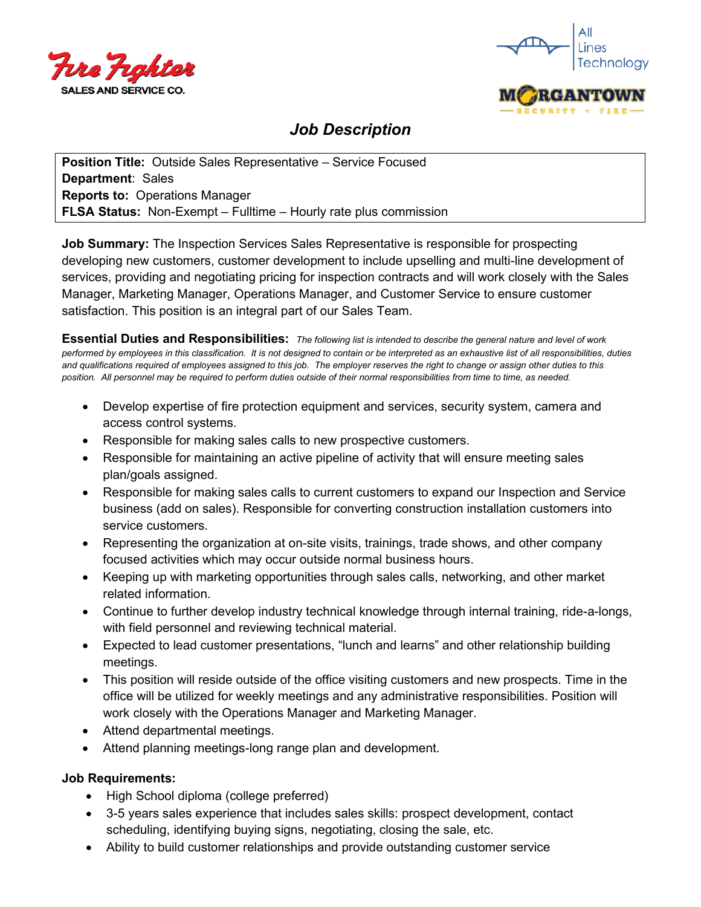



## *Job Description*

**Position Title:** Outside Sales Representative – Service Focused **Department**: Sales **Reports to:** Operations Manager **FLSA Status:** Non-Exempt – Fulltime – Hourly rate plus commission

**Job Summary:** The Inspection Services Sales Representative is responsible for prospecting developing new customers, customer development to include upselling and multi-line development of services, providing and negotiating pricing for inspection contracts and will work closely with the Sales Manager, Marketing Manager, Operations Manager, and Customer Service to ensure customer satisfaction. This position is an integral part of our Sales Team.

**Essential Duties and Responsibilities:** *The following list is intended to describe the general nature and level of work performed by employees in this classification. It is not designed to contain or be interpreted as an exhaustive list of all responsibilities, duties and qualifications required of employees assigned to this job. The employer reserves the right to change or assign other duties to this position. All personnel may be required to perform duties outside of their normal responsibilities from time to time, as needed.*

- Develop expertise of fire protection equipment and services, security system, camera and access control systems.
- Responsible for making sales calls to new prospective customers.
- Responsible for maintaining an active pipeline of activity that will ensure meeting sales plan/goals assigned.
- Responsible for making sales calls to current customers to expand our Inspection and Service business (add on sales). Responsible for converting construction installation customers into service customers.
- Representing the organization at on-site visits, trainings, trade shows, and other company focused activities which may occur outside normal business hours.
- Keeping up with marketing opportunities through sales calls, networking, and other market related information.
- Continue to further develop industry technical knowledge through internal training, ride-a-longs, with field personnel and reviewing technical material.
- Expected to lead customer presentations, "lunch and learns" and other relationship building meetings.
- This position will reside outside of the office visiting customers and new prospects. Time in the office will be utilized for weekly meetings and any administrative responsibilities. Position will work closely with the Operations Manager and Marketing Manager.
- Attend departmental meetings.
- Attend planning meetings-long range plan and development.

## **Job Requirements:**

- High School diploma (college preferred)
- 3-5 years sales experience that includes sales skills: prospect development, contact scheduling, identifying buying signs, negotiating, closing the sale, etc.
- Ability to build customer relationships and provide outstanding customer service